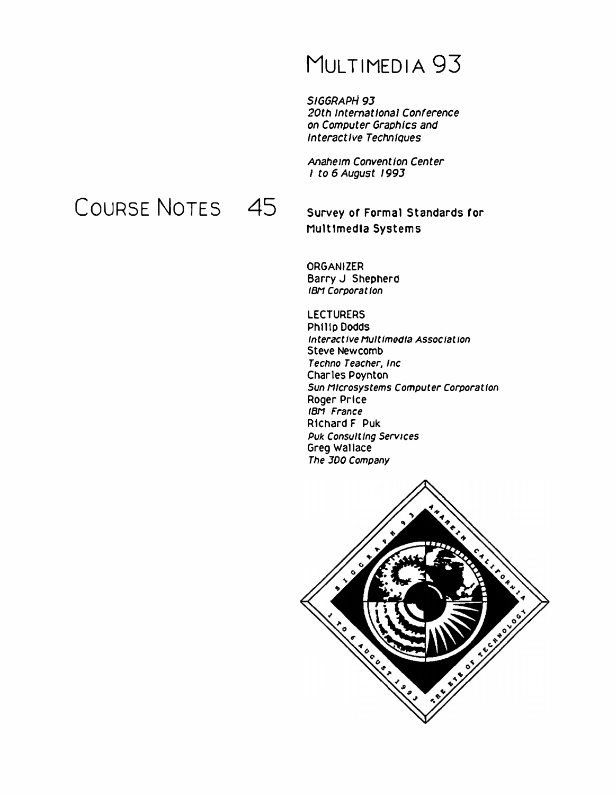# MULTIMEDIA 93

*SIGGRAPH 93*  20th International Conference *on Computer Graphics and Interactive Techniques* 

*Anaheim Convention Center*  I *to 6 August 1993* 

COURSE NOTES 45

**Survey or Formal Standards ror Multimedia Systems** 

**ORGANIZER Barry** J **Shepherd**  *IBN Corporal Ion* 

**LECTURERS Philip Dodds** *Interact Ive Mult /media Assoc lat Ion*  **Steve Newcomb**  *Tecflno Teacher, Inc*  **Charles Poynton**  *Sun Microsystems Computer Corporal Ion*  **Roger Prtce**  *IBM France*  **Richard F Puk**  *Puk Consult Ing Services*  **Greg Wallace**  *The* JOO *Company* 

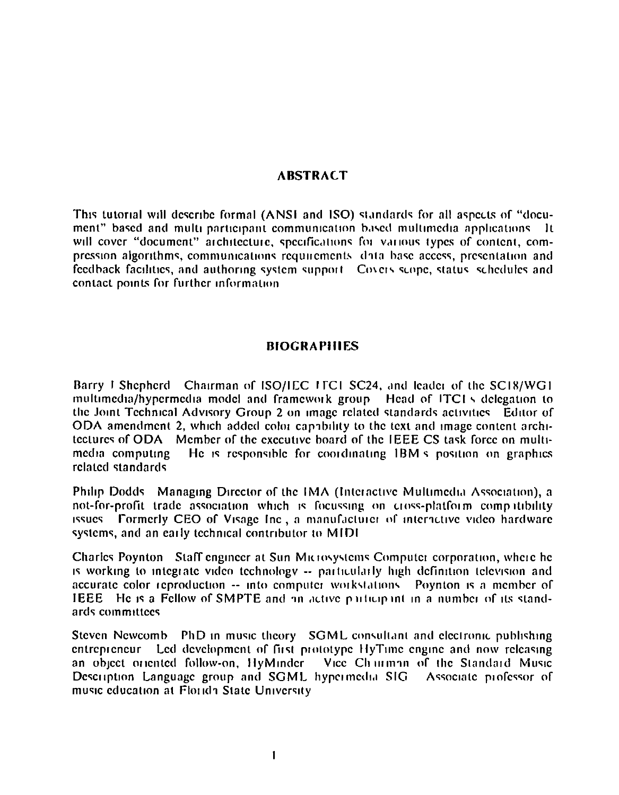### **ARSTRACT**

This tutorial will describe formal (ANSI and ISO) standards for all aspects of "document" based and multi-participant communication based multimedia applications. It will cover "document" architecture, specifications for various types of content, compression algorithms, communications requirements data base access, presentation and feedback facilities, and authoring system support. Covers scope, status, schedules and contact points for further information

#### **BIOGRAPHIES**

Barry J Shepherd Chairman of ISO/IEC ITCI SC24, and leader of the SC18/WG1 multimedia/hypermedia model and framework group. Head of ITCIs delegation to the Joint Technical Advisory Group 2 on image related standards activities. Editor of ODA amendment 2, which added color capability to the text and image content architectures of ODA Member of the executive board of the IEEE CS task force on multi-He is responsible for coordinating IBM's position on graphics media computing related standards

Philip Dodds Managing Director of the IMA (Interactive Multimedia Association), a not-for-profit trade association which is focussing on cross-platform complitibility issues Formerly CEO of Visage Inc, a manufacturer of interactive video hardware systems, and an early technical contributor to MIDI

Charles Poynton Staff engineer at Sun Microsystems Computer corporation, where he is working to integrate video technology -- particularly high definition television and accurate color reproduction -- into computer workstations. Poynton is a member of **IEEE** He is a Fellow of SMPTE and an active participant in a number of its standards committees

Steven Newcomb PhD in music theory SGML consultant and electronic publishing entrepreneur Led development of first prototype HyTime engine and now releasing an object oriented follow-on, HyMinder Vice Chimman of the Standard Music Description Language group and SGML hypermedia SIG Associate professor of music education at Florida State University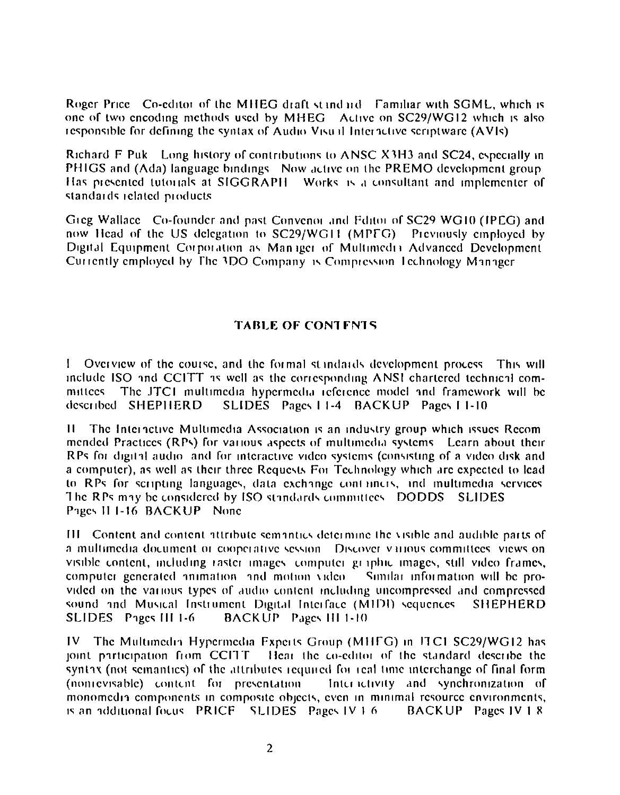Roger Price Co-editor of the MHEG draft standard Familiar with SGML, which is one of two encoding methods used by MHEG Active on SC29/WG12 which is also responsible for defining the syntax of Audio Visual Interactive scriptware (AVIs)

Richard F Puk Long history of contributions to ANSC X3H3 and SC24, especially in PHIGS and (Ada) language bindings. Now active on the PREMO development group Has presented tutorials at SIGGRAPH Works is a consultant and implementer of standards related products

Greg Wallace Co-founder and past Convenor and Fditor of SC29 WG10 (IPEG) and now Head of the US delegation to SC29/WG11 (MPFG) Previously employed by Digital Equipment Corporation as Manager of Multimedia Advanced Development Currently employed by The 3DO Company is Compression Technology Manager

## **TABLE OF CONTENTS**

I Overview of the course, and the formal standards development process. This will include ISO and CCITT as well as the corresponding ANSI chartered technical committees. The JTC1 multimedia hypermedia reference model and framework will be described SHEPHERD SLIDES Pages 11-4 BACKUP Pages 11-10

 $\mathbf{H}$ The Interactive Multimedia Association is an industry group which issues Recommended Practices (RPs) for various aspects of multimedia systems. Learn about their RPs for digital audio, and for interactive video systems (consisting of a video disk and a computer), as well as their three Requests For Technology which are expected to lead to RPs for scripting languages, data exchange containers, and multimedia services The RPs may be considered by ISO standards committees. DODDS SLIDES Pages II 1-16 BACKUP None

III. Content and content attribute semantics determine the visible and audible parts of a multimedia document or cooperative session. Discover various committees, views on visible content, including raster images computer graphic images, still video frames, computer generated animation and motion video Similar information will be provided on the various types of audio content including uncompressed and compressed sound and Musical Instrument Digital Interface (MIDI) sequences **SHEPHERD** SLIDES Pages III 1-6 BACKUP Pages III 1-10

IV The Multimedia Hypermedia Experts Group (MHFG) in ITC1 SC29/WG12 has joint participation from CCITT. Hear the co-editor of the standard describe the syntax (not semantics) of the attributes required for real time interchange of final form (nonrevisable) content for presentation Interactivity and synchronization of monomedia components in composite objects, even in minimal resource environments, is an additional focus. PRICF. SLIDES. Pages IV 1.6. BACKUP Pages IV 1 8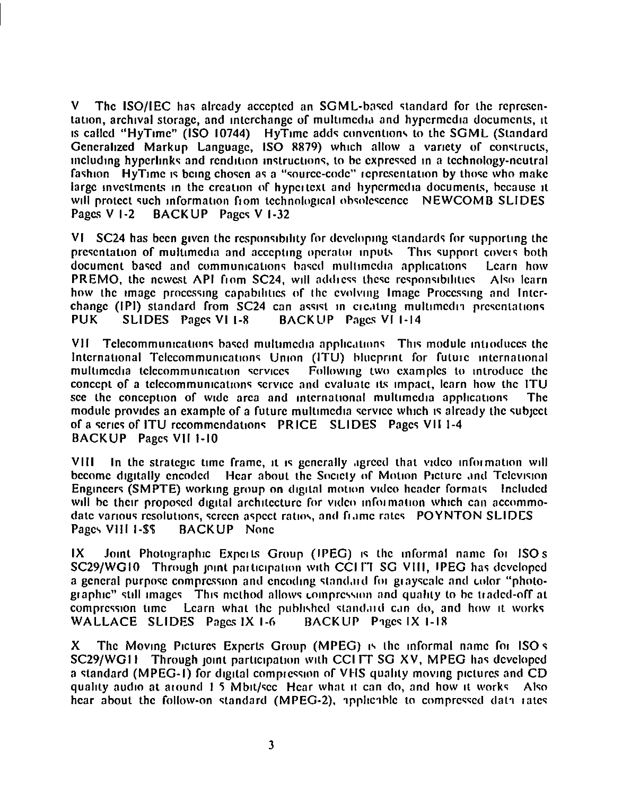V The ISO/IEC has already accepted an SGML-based standard for the representation, archival storage, and interchange of multimedia and hypermedia documents, it IS called "HyTime" (ISO 10744) HyTime adds conventions to the SGML (Standard Generalized Markup Language, ISO  $8879$ ) which allow a variety of constructs,  $m$ cluding hyperlinks and rendition instructions, to be expressed in a technology-neutral fashion  $\overline{\phantom{a}}$  HyTime is being chosen as a "source-code" representation by those who make large investments in the creation of hypertext and hypermedia documents, because it will protect such information from technological obsolescence NEWCOMB SLIDES<br>Pages V 1-2 BACKUP Pages V 1-32 BACKUP Pages V 1-32

VI  $SC24$  has been given the responsibility for developing standards for supporting the presentation of multimedia and accepting operator inpuls. This support covers both document based and communications based multimedia applications. Learn how document based and communications based multimedia applications PREMO, the newest API from SC24, will address these responsibilities Also learn how the image processing capabilities of the evolving Image Processing and Interchange (IPI) standard from SC24 can assist in creating multimedia presentations entitles mages VI 1-14 PUK SLIDES Pages VI 1-8 BACKUP Pages VI 1-14

VII Telecommunications based multimedia applications. This module introduces the International Telecommunications Union (ITU) blueprint for future international<br>multimedia telecommunication services Following two examples to introduce the Following two examples to introduce the concept of a telecommunications service and evaluate its impact, learn how the ITU see the conception of wide area and international multimedia applications. The module provides an example of a future multimedia service which is already the subject of a series of ITU recommendations PRICE SLIDES Pages VII 1-4 BACKUP Pages VII 1-10

VIII In the strategic time frame, it is generally agreed that video information will become digitally encoded Hear about the Society of Motion Picture and Television Engineers (SMPTE) working group on digital motion video header formats Included will be their proposed digital architecture for video information which can accommodate various resolutions, screen aspect ratios, and frame rates POYNTON SLIDES Pages VIII 1-\$\$ BACKUP None

 $IX$  Joint Photographic Experts Group (IPEG) is the informal name for ISO s SC29/WG10 Through joint participation with CCI FT SG VIII, IPEG has developed a general purpose compression and encoding standard for grayscale and color "photographic" still images. This method allows compression and quality to be traded-off at compression time Learn what the published standard can do, and how it works WALLACE SLIDES Pages  $IX 1-6$  BACKUP Pages  $IX 1-18$ 

X The Moving Pictures Experts Group (MPEG) is the informal name for ISO  $\bar{s}$ SC29/WG11 Through joint participation with CCI IT SG XV, MPEG has developed a standard (MPEG-1) for digital compression of VHS quality moving pictures and CD quality audio at around 1.5 Mbit/sec. Hear what it can do, and how it works. Also hear about the follow-on standard (MPEG-2), apphcable to compressed data rates